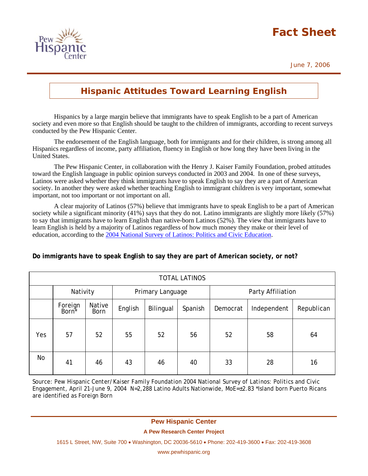# **Fact Sheet**





## **Hispanic Attitudes Toward Learning English**

Hispanics by a large margin believe that immigrants have to speak English to be a part of American society and even more so that English should be taught to the children of immigrants, according to recent surveys conducted by the Pew Hispanic Center.

 The endorsement of the English language, both for immigrants and for their children, is strong among all Hispanics regardless of income, party affiliation, fluency in English or how long they have been living in the United States.

 The Pew Hispanic Center, in collaboration with the Henry J. Kaiser Family Foundation, probed attitudes toward the English language in public opinion surveys conducted in 2003 and 2004. In one of these surveys, Latinos were asked whether they think immigrants have to speak English to say they are a part of American society. In another they were asked whether teaching English to immigrant children is very important, somewhat important, not too important or not important on all.

 A clear majority of Latinos (57%) believe that immigrants have to speak English to be a part of American society while a significant minority (41%) says that they do not. Latino immigrants are slightly more likely (57%) to say that immigrants have to learn English than native-born Latinos (52%). The view that immigrants have to learn English is held by a majority of Latinos regardless of how much money they make or their level of education, according to the 2004 National Survey of Latinos: Politics and Civic Education.

| <b>TOTAL LATINOS</b> |                              |                       |                  |           |         |                   |             |            |  |  |
|----------------------|------------------------------|-----------------------|------------------|-----------|---------|-------------------|-------------|------------|--|--|
|                      | Nativity                     |                       | Primary Language |           |         | Party Affiliation |             |            |  |  |
|                      | Foreign<br>Born <sup>*</sup> | Native<br><b>Born</b> | English          | Bilingual | Spanish | Democrat          | Independent | Republican |  |  |
| Yes                  | 57                           | 52                    | 55               | 52        | 56      | 52                | 58          | 64         |  |  |
| No                   | 41                           | 46                    | 43               | 46        | 40      | 33                | 28          | 16         |  |  |

### **Do immigrants have to speak English to say they are part of American society, or not?**

Source: *Pew Hispanic Center/Kaiser Family Foundation 2004 National Survey of Latinos: Politics and Civic Engagement*, April 21-June 9, 2004 N=2,288 Latino Adults Nationwide, MoE=±2.83 \*Island born Puerto Ricans are identified as Foreign Born

#### **Pew Hispanic Center**

#### **A Pew Research Center Project**

1615 L Street, NW, Suite 700 • Washington, DC 20036-5610 • Phone: 202-419-3600 • Fax: 202-419-3608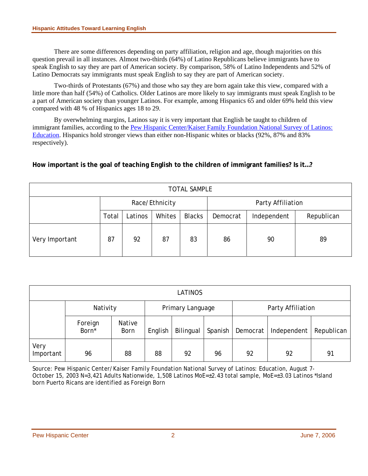There are some differences depending on party affiliation, religion and age, though majorities on this question prevail in all instances. Almost two-thirds (64%) of Latino Republicans believe immigrants have to speak English to say they are part of American society. By comparison, 58% of Latino Independents and 52% of Latino Democrats say immigrants must speak English to say they are part of American society.

Two-thirds of Protestants (67%) and those who say they are born again take this view, compared with a little more than half (54%) of Catholics. Older Latinos are more likely to say immigrants must speak English to be a part of American society than younger Latinos. For example, among Hispanics 65 and older 69% held this view compared with 48 % of Hispanics ages 18 to 29.

By overwhelming margins, Latinos say it is very important that English be taught to children of immigrant families, according to the Pew Hispanic Center/Kaiser Family Foundation National Survey of Latinos: Education. Hispanics hold stronger views than either non-Hispanic whites or blacks (92%, 87% and 83% respectively).

**How important is the goal of teaching English to the children of immigrant families? Is it…?** 

| <b>TOTAL SAMPLE</b> |                |         |        |               |                   |             |            |  |  |
|---------------------|----------------|---------|--------|---------------|-------------------|-------------|------------|--|--|
|                     | Race/Ethnicity |         |        |               | Party Affiliation |             |            |  |  |
|                     | Total          | Latinos | Whites | <b>Blacks</b> | Democrat          | Independent | Republican |  |  |
| Very Important      | 87             | 92      | 87     | 83            | 86                | 90          | 89         |  |  |

| <b>LATINOS</b>    |                  |                       |         |           |                   |          |             |            |  |  |
|-------------------|------------------|-----------------------|---------|-----------|-------------------|----------|-------------|------------|--|--|
|                   | Nativity         | Primary Language      |         |           | Party Affiliation |          |             |            |  |  |
|                   | Foreign<br>Born* | Native<br><b>Born</b> | English | Bilingual | Spanish           | Democrat | Independent | Republican |  |  |
| Very<br>Important | 96               | 88                    | 88      | 92        | 96                | 92       | 92          | 91         |  |  |

Source: *Pew Hispanic Center/Kaiser Family Foundation National Survey of Latinos: Education*, August 7- October 15, 2003 N=3,421 Adults Nationwide, 1,508 Latinos MoE=±2.43 total sample, MoE=±3.03 Latinos \*Island born Puerto Ricans are identified as Foreign Born